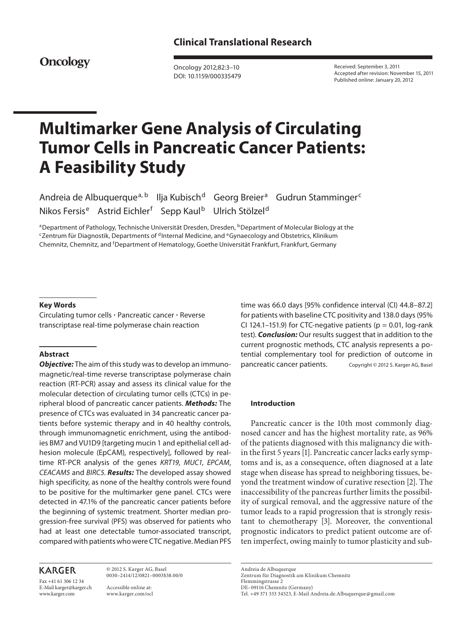# **Oncology**

 Oncology 2012;82:3–10 DOI: 10.1159/000335479  Received: September 3, 2011 Accepted after revision: November 15, 2011 Published online: January 20, 2012

# **Multimarker Gene Analysis of Circulating Tumor Cells in Pancreatic Cancer Patients: A Feasibility Study**

Andreia de Albuquerque<sup>a, b</sup> Ilja Kubisch<sup>d</sup> Gudrun Stamminger<sup>c</sup> Nikos Fersis<sup>e</sup> Astrid Eichler<sup>f</sup> Sepp Kaul<sup>b</sup> Ulrich Stölzel<sup>d</sup>

<sup>a</sup> Department of Pathology, Technische Universität Dresden, Dresden, <sup>b</sup> Department of Molecular Biology at the c Zentrum für Diagnostik, Departments of <sup>d</sup> Internal Medicine, and <sup>e</sup> Gynaecology and Obstetrics, Klinikum Chemnitz, Chemnitz, and <sup>f</sup> Department of Hematology, Goethe Universität Frankfurt, Frankfurt, Germany

## **Key Words**

 Circulating tumor cells - Pancreatic cancer - Reverse transcriptase real-time polymerase chain reaction

#### **Abstract**

*Objective:* The aim of this study was to develop an immunomagnetic/real-time reverse transcriptase polymerase chain reaction (RT-PCR) assay and assess its clinical value for the molecular detection of circulating tumor cells (CTCs) in peripheral blood of pancreatic cancer patients. *Methods:* The presence of CTCs was evaluated in 34 pancreatic cancer patients before systemic therapy and in 40 healthy controls, through immunomagnetic enrichment, using the antibodies BM7 and VU1D9 [targeting mucin 1 and epithelial cell adhesion molecule (EpCAM), respectively], followed by realtime RT-PCR analysis of the genes KRT19, MUC1, EPCAM, CEACAM5 and BIRC5. *Results:* The developed assay showed high specificity, as none of the healthy controls were found to be positive for the multimarker gene panel. CTCs were detected in 47.1% of the pancreatic cancer patients before the beginning of systemic treatment. Shorter median progression-free survival (PFS) was observed for patients who had at least one detectable tumor-associated transcript, compared with patients who were CTC negative. Median PFS

## **KARGER**

Fax +41 61 306 12 34 E-Mail karger@karger.ch www.karger.com

 © 2012 S. Karger AG, Basel 0030–2414/12/0821–0003\$38.00/0

 Accessible online at: www.karger.com/ocl time was 66.0 days [95% confidence interval (CI) 44.8–87.2] for patients with baseline CTC positivity and 138.0 days (95% CI 124.1–151.9) for CTC-negative patients ( $p = 0.01$ , log-rank test). *Conclusion:* Our results suggest that in addition to the current prognostic methods, CTC analysis represents a potential complementary tool for prediction of outcome in pancreatic cancer patients. Copyright © 2012 S. Karger AG, Basel

### **Introduction**

 Pancreatic cancer is the 10th most commonly diagnosed cancer and has the highest mortality rate, as 96% of the patients diagnosed with this malignancy die within the first 5 years [1]. Pancreatic cancer lacks early symptoms and is, as a consequence, often diagnosed at a late stage when disease has spread to neighboring tissues, beyond the treatment window of curative resection [2]. The inaccessibility of the pancreas further limits the possibility of surgical removal, and the aggressive nature of the tumor leads to a rapid progression that is strongly resistant to chemotherapy [3]. Moreover, the conventional prognostic indicators to predict patient outcome are often imperfect, owing mainly to tumor plasticity and sub-

 Andreia de Albuquerque Zentrum für Diagnostik am Klinikum Chemnitz Flemmingstrasse 2 DE–09116 Chemnitz (Germany) Tel. +49 371 333 34523, E-Mail Andreia.de.Albuquerque @ gmail.com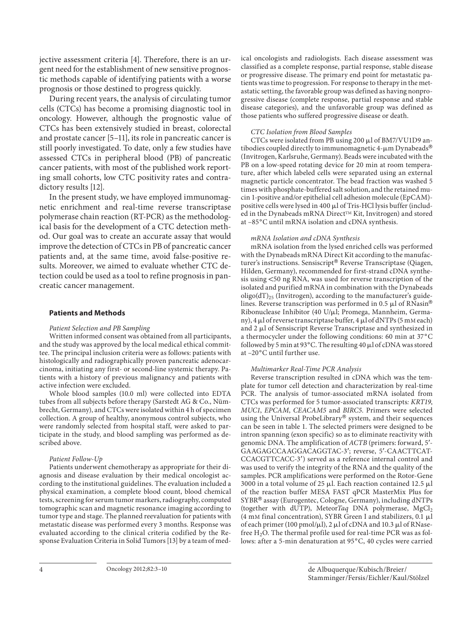jective assessment criteria [4]. Therefore, there is an urgent need for the establishment of new sensitive prognostic methods capable of identifying patients with a worse prognosis or those destined to progress quickly.

 During recent years, the analysis of circulating tumor cells (CTCs) has become a promising diagnostic tool in oncology. However, although the prognostic value of CTCs has been extensively studied in breast, colorectal and prostate cancer [5–11] , its role in pancreatic cancer is still poorly investigated. To date, only a few studies have assessed CTCs in peripheral blood (PB) of pancreatic cancer patients, with most of the published work reporting small cohorts, low CTC positivity rates and contradictory results [12].

 In the present study, we have employed immunomagnetic enrichment and real-time reverse transcriptase polymerase chain reaction (RT-PCR) as the methodological basis for the development of a CTC detection method. Our goal was to create an accurate assay that would improve the detection of CTCs in PB of pancreatic cancer patients and, at the same time, avoid false-positive results. Moreover, we aimed to evaluate whether CTC detection could be used as a tool to refine prognosis in pancreatic cancer management.

#### **Patients and Methods**

#### *Patient Selection and PB Sampling*

 Written informed consent was obtained from all participants, and the study was approved by the local medical ethical committee. The principal inclusion criteria were as follows: patients with histologically and radiographically proven pancreatic adenocarcinoma, initiating any first- or second-line systemic therapy. Patients with a history of previous malignancy and patients with active infection were excluded.

 Whole blood samples (10.0 ml) were collected into EDTA tubes from all subjects before therapy (Sarstedt AG & Co., Nümbrecht, Germany), and CTCs were isolated within 4 h of specimen collection. A group of healthy, anonymous control subjects, who were randomly selected from hospital staff, were asked to participate in the study, and blood sampling was performed as described above.

#### *Patient Follow-Up*

 Patients underwent chemotherapy as appropriate for their diagnosis and disease evaluation by their medical oncologist according to the institutional guidelines. The evaluation included a physical examination, a complete blood count, blood chemical tests, screening for serum tumor markers, radiography, computed tomographic scan and magnetic resonance imaging according to tumor type and stage. The planned reevaluation for patients with metastatic disease was performed every 3 months. Response was evaluated according to the clinical criteria codified by the Response Evaluation Criteria in Solid Tumors [13] by a team of medical oncologists and radiologists. Each disease assessment was classified as a complete response, partial response, stable disease or progressive disease. The primary end point for metastatic patients was time to progression. For response to therapy in the metastatic setting, the favorable group was defined as having nonprogressive disease (complete response, partial response and stable disease categories), and the unfavorable group was defined as those patients who suffered progressive disease or death.

#### *CTC Isolation from Blood Samples*

CTCs were isolated from PB using 200 µl of BM7/VU1D9 antibodies coupled directly to immunomagnetic 4- $\mu$ m Dynabeads® (Invitrogen, Karlsruhe, Germany). Beads were incubated with the PB on a low-speed rotating device for 20 min at room temperature, after which labeled cells were separated using an external magnetic particle concentrator. The bead fraction was washed 5 times with phosphate-buffered salt solution, and the retained mucin 1-positive and/or epithelial cell adhesion molecule (EpCAM) positive cells were lysed in 400 µl of Tris-HCl lysis buffer (included in the Dynabeads mRNA Direct™ Kit, Invitrogen) and stored at -85°C until mRNA isolation and cDNA synthesis.

#### *mRNA Isolation and cDNA Synthesis*

 mRNA isolation from the lysed enriched cells was performed with the Dynabeads mRNA Direct Kit according to the manufacturer's instructions. Sensiscript® Reverse Transcriptase (Qiagen, Hilden, Germany), recommended for first-strand cDNA synthesis using <50 ng RNA, was used for reverse transcription of the isolated and purified mRNA in combination with the Dynabeads oligo( $dT$ )<sub>25</sub> (Invitrogen), according to the manufacturer's guidelines. Reverse transcription was performed in 0.5  $\mu$ l of RNasin® Ribonuclease Inhibitor (40 U/µl; Promega, Mannheim, Germany), 4 µl of reverse transcriptase buffer, 4 µl of dNTPs (5 mM each) and 2 µl of Sensiscript Reverse Transcriptase and synthesized in a thermocycler under the following conditions: 60 min at 37°C followed by 5 min at 93°C. The resulting 40  $\mu$ l of cDNA was stored at  $-20^{\circ}$ C until further use.

#### *Multimarker Real-Time PCR Analysis*

 Reverse transcription resulted in cDNA which was the template for tumor cell detection and characterization by real-time PCR. The analysis of tumor-associated mRNA isolated from CTCs was performed for 5 tumor-associated transcripts: *KRT19*, *MUC1* , *EPCAM* , *CEACAM5* and *BIRC5* . Primers were selected using the Universal ProbeLibrary® system, and their sequences can be seen in table 1. The selected primers were designed to be intron spanning (exon specific) so as to eliminate reactivity with genomic DNA. The amplification of *ACTB* (primers: forward, 5'-GAAGAGCCAAGGACAGGTAC-3'; reverse, 5'-CAACTTCAT-CCACGTTCACC-3') served as a reference internal control and was used to verify the integrity of the RNA and the quality of the samples. PCR amplifications were performed on the Rotor-Gene 3000 in a total volume of 25  $\mu$ l. Each reaction contained 12.5  $\mu$ l of the reaction buffer MESA FAST qPCR MasterMix Plus for SYBR® assay (Eurogentec, Cologne, Germany), including dNTPs (together with dUTP), MeteorTaq DNA polymerase, MgCl<sub>2</sub> (4 mM final concentration), SYBR Green I and stabilizers, 0.1  $\mu$ l of each primer (100 pmol/ $\mu$ l), 2  $\mu$ l of cDNA and 10.3  $\mu$ l of RNasefree  $H_2O$ . The thermal profile used for real-time PCR was as follows: after a 5-min denaturation at 95 ° C, 40 cycles were carried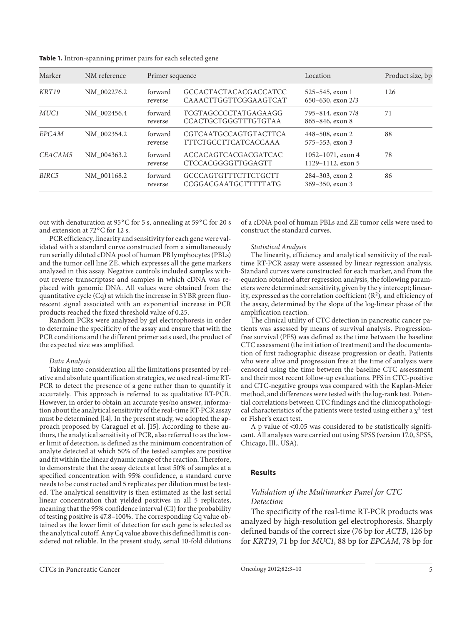**Table 1.** Intron-spanning primer pairs for each selected gene

| Marker            | NM reference | Primer sequence    |                                                            | Location                                    | Product size, bp |  |
|-------------------|--------------|--------------------|------------------------------------------------------------|---------------------------------------------|------------------|--|
| KRT19             | NM 002276.2  | forward<br>reverse | GCCACTACTACACGACCATCC<br>CAAACTTGGTTCGGAAGTCAT             | 525–545, exon 1<br>$650 - 630$ , exon $2/3$ | 126              |  |
| MUC1              | NM 002456.4  | forward<br>reverse | <b>TCGTAGCCCCTATGAGAAGG</b><br><b>CCACTGCTGGGTTTGTGTAA</b> | 795-814, exon 7/8<br>865-846, exon 8        | 71               |  |
| EPCAM             | NM 002354.2  | forward<br>reverse | CGTCAATGCCAGTGTACTTCA<br><b>TTTCTGCCTTCATCACCAAA</b>       | 448-508, exon 2<br>575–553, exon 3          | 88               |  |
| CEACAM5           | NM 004363.2  | forward<br>reverse | ACCACAGTCACGACGATCAC<br>CTCCACGGGGTTGGAGTT                 | $1052 - 1071$ , exon 4<br>1129-1112, exon 5 | 78               |  |
| BIRC <sub>5</sub> | NM 001168.2  | forward<br>reverse | GCCCAGTGTTTCTTCTGCTT<br>CCGGACGAATGCTTTTTATG               | 284–303, exon 2<br>369–350, exon 3          | 86               |  |

out with denaturation at 95 $\rm{^{\circ}C}$  for 5 s, annealing at 59 $\rm{^{\circ}C}$  for 20 s and extension at 72°C for 12 s.

 PCR efficiency, linearity and sensitivity for each gene were validated with a standard curve constructed from a simultaneously run serially diluted cDNA pool of human PB lymphocytes (PBLs) and the tumor cell line ZE, which expresses all the gene markers analyzed in this assay. Negative controls included samples without reverse transcriptase and samples in which cDNA was replaced with genomic DNA. All values were obtained from the quantitative cycle (Cq) at which the increase in SYBR green fluorescent signal associated with an exponential increase in PCR products reached the fixed threshold value of 0.25.

 Random PCRs were analyzed by gel electrophoresis in order to determine the specificity of the assay and ensure that with the PCR conditions and the different primer sets used, the product of the expected size was amplified.

#### *Data Analysis*

 Taking into consideration all the limitations presented by relative and absolute quantification strategies, we used real-time RT-PCR to detect the presence of a gene rather than to quantify it accurately. This approach is referred to as qualitative RT-PCR. However, in order to obtain an accurate yes/no answer, information about the analytical sensitivity of the real-time RT-PCR assay must be determined [14]. In the present study, we adopted the approach proposed by Caraguel et al. [15] . According to these authors, the analytical sensitivity of PCR, also referred to as the lower limit of detection, is defined as the minimum concentration of analyte detected at which 50% of the tested samples are positive and fit within the linear dynamic range of the reaction. Therefore, to demonstrate that the assay detects at least 50% of samples at a specified concentration with 95% confidence, a standard curve needs to be constructed and 5 replicates per dilution must be tested. The analytical sensitivity is then estimated as the last serial linear concentration that yielded positives in all 5 replicates, meaning that the 95% confidence interval (CI) for the probability of testing positive is 47.8–100%. The corresponding Cq value obtained as the lower limit of detection for each gene is selected as the analytical cutoff. Any Cq value above this defined limit is considered not reliable. In the present study, serial 10-fold dilutions

of a cDNA pool of human PBLs and ZE tumor cells were used to construct the standard curves.

#### *Statistical Analysis*

 The linearity, efficiency and analytical sensitivity of the realtime RT-PCR assay were assessed by linear regression analysis. Standard curves were constructed for each marker, and from the equation obtained after regression analysis, the following parameters were determined: sensitivity, given by the y intercept; linearity, expressed as the correlation coefficient  $(R^2)$ , and efficiency of the assay, determined by the slope of the log-linear phase of the amplification reaction.

 The clinical utility of CTC detection in pancreatic cancer patients was assessed by means of survival analysis. Progressionfree survival (PFS) was defined as the time between the baseline CTC assessment (the initiation of treatment) and the documentation of first radiographic disease progression or death. Patients who were alive and progression free at the time of analysis were censored using the time between the baseline CTC assessment and their most recent follow-up evaluations. PFS in CTC-positive and CTC-negative groups was compared with the Kaplan-Meier method, and differences were tested with the log-rank test. Potential correlations between CTC findings and the clinicopathological characteristics of the patients were tested using either a  $\chi^2$  test or Fisher's exact test.

A p value of  $\leq 0.05$  was considered to be statistically significant. All analyses were carried out using SPSS (version 17.0, SPSS, Chicago, Ill., USA).

#### **Results**

## *Validation of the Multimarker Panel for CTC Detection*

 The specificity of the real-time RT-PCR products was analyzed by high-resolution gel electrophoresis. Sharply defined bands of the correct size (76 bp for *ACTB* , 126 bp for *KRT19* , 71 bp for *MUC1* , 88 bp for *EPCAM* , 78 bp for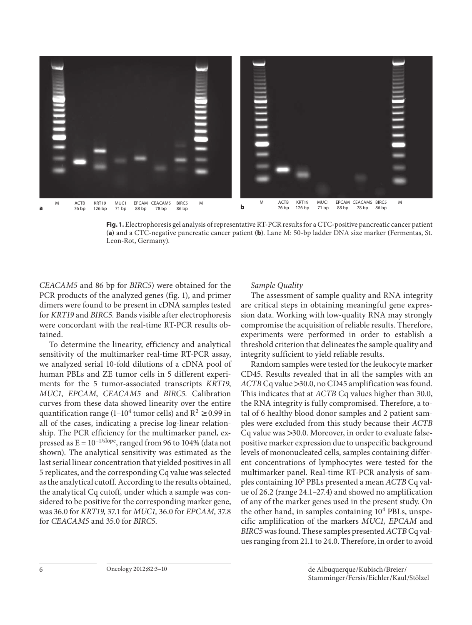

**Fig. 1.** Electrophoresis gel analysis of representative RT-PCR results for a CTC-positive pancreatic cancer patient (a) and a CTC-negative pancreatic cancer patient (b). Lane M: 50-bp ladder DNA size marker (Fermentas, St. Leon-Rot, Germany).

*CEACAM5* and 86 bp for *BIRC5* ) were obtained for the PCR products of the analyzed genes (fig. 1), and primer dimers were found to be present in cDNA samples tested for *KRT19* and *BIRC5.* Bands visible after electrophoresis were concordant with the real-time RT-PCR results obtained.

 To determine the linearity, efficiency and analytical sensitivity of the multimarker real-time RT-PCR assay, we analyzed serial 10-fold dilutions of a cDNA pool of human PBLs and ZE tumor cells in 5 different experiments for the 5 tumor-associated transcripts *KRT19* , *MUC1* , *EPCAM* , *CEACAM5* and *BIRC5.* Calibration curves from these data showed linearity over the entire quantification range (1–10<sup>4</sup> tumor cells) and  $R^2 \ge 0.99$  in all of the cases, indicating a precise log-linear relationship. The PCR efficiency for the multimarker panel, expressed as  $E = 10^{-1/\text{slope}}$ , ranged from 96 to 104% (data not shown). The analytical sensitivity was estimated as the last serial linear concentration that yielded positives in all 5 replicates, and the corresponding Cq value was selected as the analytical cutoff. According to the results obtained, the analytical Cq cutoff, under which a sample was considered to be positive for the corresponding marker gene, was 36.0 for *KRT19,* 37.1 for *MUC1,* 36.0 for *EPCAM,* 37.8 for *CEACAM5* and 35.0 for *BIRC5* .

## *Sample Quality*

 The assessment of sample quality and RNA integrity are critical steps in obtaining meaningful gene expression data. Working with low-quality RNA may strongly compromise the acquisition of reliable results. Therefore, experiments were performed in order to establish a threshold criterion that delineates the sample quality and integrity sufficient to yield reliable results.

 Random samples were tested for the leukocyte marker CD45. Results revealed that in all the samples with an *ACTB* Cq value > 30.0, no CD45 amplification was found. This indicates that at *ACTB* Cq values higher than 30.0, the RNA integrity is fully compromised. Therefore, a total of 6 healthy blood donor samples and 2 patient samples were excluded from this study because their *ACTB* Cq value was  $>$ 30.0. Moreover, in order to evaluate falsepositive marker expression due to unspecific background levels of mononucleated cells, samples containing different concentrations of lymphocytes were tested for the multimarker panel. Real-time RT-PCR analysis of samples containing 10<sup>3</sup> PBLs presented a mean *ACTB* Cq value of 26.2 (range 24.1–27.4) and showed no amplification of any of the marker genes used in the present study. On the other hand, in samples containing 10<sup>4</sup> PBLs, unspecific amplification of the markers *MUC1, EPCAM* and *BIRC5* was found. These samples presented *ACTB* Cq values ranging from 21.1 to 24.0. Therefore, in order to avoid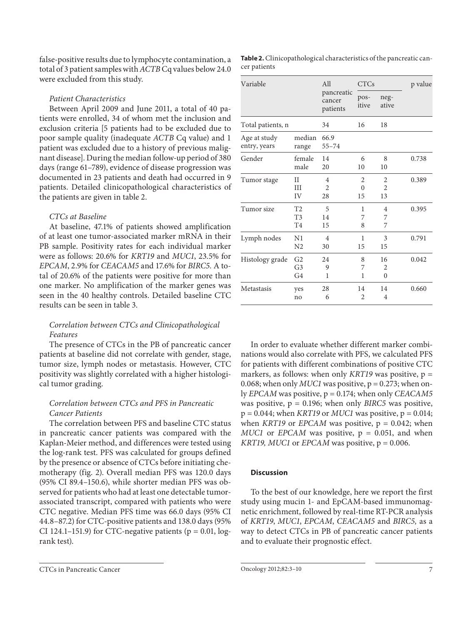false-positive results due to lymphocyte contamination, a total of 3 patient samples with *ACTB* Cq values below 24.0 were excluded from this study.

## *Patient Characteristics*

 Between April 2009 and June 2011, a total of 40 patients were enrolled, 34 of whom met the inclusion and exclusion criteria [5 patients had to be excluded due to poor sample quality (inadequate *ACTB* Cq value) and 1 patient was excluded due to a history of previous malignant disease]. During the median follow-up period of 380 days (range 61–789), evidence of disease progression was documented in 23 patients and death had occurred in 9 patients. Detailed clinicopathological characteristics of the patients are given in table 2.

## *CTCs at Baseline*

 At baseline, 47.1% of patients showed amplification of at least one tumor-associated marker mRNA in their PB sample. Positivity rates for each individual marker were as follows: 20.6% for *KRT19* and *MUC1* , 23.5% for *EPCAM* , 2.9% for *CEACAM5* and 17.6% for *BIRC5.* A total of 20.6% of the patients were positive for more than one marker. No amplification of the marker genes was seen in the 40 healthy controls. Detailed baseline CTC results can be seen in table 3.

## *Correlation between CTCs and Clinicopathological Features*

 The presence of CTCs in the PB of pancreatic cancer patients at baseline did not correlate with gender, stage, tumor size, lymph nodes or metastasis. However, CTC positivity was slightly correlated with a higher histological tumor grading.

## *Correlation between CTCs and PFS in Pancreatic Cancer Patients*

 The correlation between PFS and baseline CTC status in pancreatic cancer patients was compared with the Kaplan-Meier method, and differences were tested using the log-rank test. PFS was calculated for groups defined by the presence or absence of CTCs before initiating chemotherapy (fig. 2). Overall median PFS was 120.0 days (95% CI 89.4–150.6), while shorter median PFS was observed for patients who had at least one detectable tumorassociated transcript, compared with patients who were CTC negative. Median PFS time was 66.0 days (95% CI 44.8–87.2) for CTC-positive patients and 138.0 days (95% CI 124.1–151.9) for CTC-negative patients ( $p = 0.01$ , logrank test).

**Table 2.** Clinicopathological characteristics of the pancreatic cancer patients

| Variable                     | All                                    | <b>CTCs</b>                            |                     | p value                   |       |
|------------------------------|----------------------------------------|----------------------------------------|---------------------|---------------------------|-------|
|                              | pancreatic<br>cancer<br>patients       | pos-<br>itive                          | neg-<br>ative       |                           |       |
| Total patients, n            | 34                                     | 16                                     | 18                  |                           |       |
| Age at study<br>entry, years | median<br>range                        | 66.9<br>$55 - 74$                      |                     |                           |       |
| Gender                       | female<br>male                         | 14<br>20                               | 6<br>10             | 8<br>10                   | 0.738 |
| Tumor stage                  | Н<br>Ш<br>IV                           | $\overline{4}$<br>$\overline{2}$<br>28 | 2<br>$\Omega$<br>15 | 2<br>$\overline{2}$<br>13 | 0.389 |
| Tumor size                   | T <sub>2</sub><br>T <sub>3</sub><br>T4 | 5<br>14<br>15                          | 1<br>7<br>8         | 4<br>7<br>7               | 0.395 |
| Lymph nodes                  | N1<br>N <sub>2</sub>                   | $\overline{4}$<br>30                   | 1<br>15             | 3<br>15                   | 0.791 |
| Histology grade              | G <sub>2</sub><br>G <sub>3</sub><br>G4 | 24<br>9<br>1                           | 8<br>7<br>1         | 16<br>2<br>$\theta$       | 0.042 |
| Metastasis                   | yes<br>no                              | 28<br>6                                | 14<br>2             | 14<br>4                   | 0.660 |

 In order to evaluate whether different marker combinations would also correlate with PFS, we calculated PFS for patients with different combinations of positive CTC markers, as follows: when only *KRT19* was positive, p = 0.068; when only  $MUC1$  was positive,  $p = 0.273$ ; when only *EPCAM* was positive, p = 0.174; when only *CEACAM5* was positive, p = 0.196; when only *BIRC5* was positive,  $p = 0.044$ ; when *KRT19* or *MUC1* was positive,  $p = 0.014$ ; when *KRT19* or *EPCAM* was positive,  $p = 0.042$ ; when *MUC1* or *EPCAM* was positive,  $p = 0.051$ , and when *KRT19, MUC1* or *EPCAM* was positive,  $p = 0.006$ .

## **Discussion**

 To the best of our knowledge, here we report the first study using mucin 1- and EpCAM-based immunomagnetic enrichment, followed by real-time RT-PCR analysis of *KRT19* , *MUC1* , *EPCAM* , *CEACAM5* and *BIRC5,* as a way to detect CTCs in PB of pancreatic cancer patients and to evaluate their prognostic effect.

CTCs in Pancreatic Cancer Oncology 2012;82:3–10 7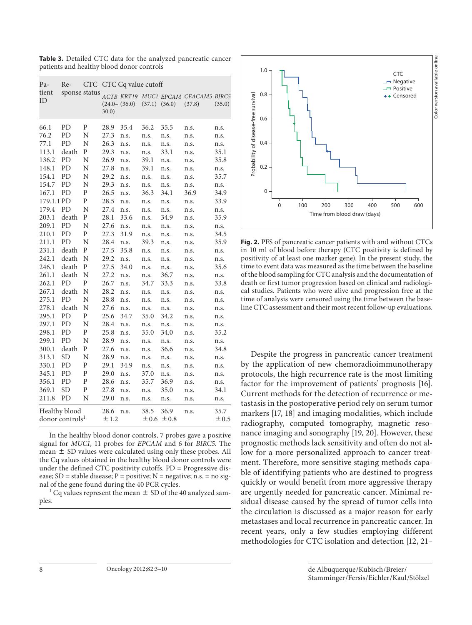**Table 3.** Detailed CTC data for the analyzed pancreatic cancer patients and healthy blood donor controls

| Pa-                         | Re-<br>sponse status | <b>CTC</b> | CTC Cq value cutoff |                                 |        |        |                                    |        |
|-----------------------------|----------------------|------------|---------------------|---------------------------------|--------|--------|------------------------------------|--------|
| tient<br>ΙD                 |                      |            | 30.0)               | ACTB KRT19<br>$(24.0 - (36.0))$ | (37.1) | (36.0) | MUC1 EPCAM CEACAM5 BIRC5<br>(37.8) | (35.0) |
| 66.1                        | PD                   | P          | 28.9                | 35.4                            | 36.2   | 35.5   | n.s.                               | n.s.   |
| 76.2                        | PD                   | N          | 27.3                | n.s.                            | n.s.   | n.s.   | n.s.                               | n.s.   |
| 77.1                        | PD                   | N          | 26.3                | n.s.                            | n.s.   | n.s.   | n.s.                               | n.s.   |
| 113.1                       | death                | P          | 29.3                | n.s.                            | n.s.   | 33.1   | n.s.                               | 35.1   |
| 136.2                       | PD                   | N          | 26.9                | n.s.                            | 39.1   | n.s.   | n.s.                               | 35.8   |
| 148.1                       | PD                   | N          | 27.8                | n.s.                            | 39.1   | n.s.   | n.s.                               | n.s.   |
| 154.1                       | PD                   | N          | 29.2                | n.s.                            | n.s.   | n.s.   | n.s.                               | 35.7   |
| 154.7                       | PD                   | N          | 29.3                | n.s.                            | n.s.   | n.s.   | n.s.                               | n.s.   |
| 167.1                       | PD                   | P          | 26.5                | n.s.                            | 36.3   | 34.1   | 36.9                               | 34.9   |
| 179.1.1 PD                  |                      | Р          | 28.5                | n.s.                            | n.s.   | n.s.   | n.s.                               | 33.9   |
| 179.4                       | <b>PD</b>            | N          | 27.4                | n.s.                            | n.s.   | n.s.   | n.s.                               | n.s.   |
| 203.1                       | death                | P          | 28.1                | 33.6                            | n.s.   | 34.9   | n.s.                               | 35.9   |
| 209.1                       | PD                   | N          | 27.6                | n.s.                            | n.s.   | n.s.   | n.s.                               | n.s.   |
| 210.1                       | PD                   | P          | 27.3                | 31.9                            | n.s.   | n.s.   | n.s.                               | 34.5   |
| 211.1                       | PD                   | N          | 28.4                | n.s.                            | 39.3   | n.s.   | n.s.                               | 35.9   |
| 231.1                       | death                | P          | 27.5                | 35.8                            | n.s.   | n.s.   | n.s.                               | n.s.   |
| 242.1                       | death                | N          | 29.2                | n.s.                            | n.s.   | n.s.   | n.s.                               | n.s.   |
| 246.1                       | death                | P          | 27.5                | 34.0                            | n.s.   | n.s.   | n.s.                               | 35.6   |
| 261.1                       | death                | N          | 27.2                | n.s.                            | n.s.   | 36.7   | n.s.                               | n.s.   |
| 262.1                       | PD                   | P          | 26.7                | n.s.                            | 34.7   | 33.3   | n.s.                               | 33.8   |
| 267.1                       | death                | N          | 28.2                | n.s.                            | n.s.   | n.s.   | n.s.                               | n.s.   |
| 275.1                       | PD                   | N          | 28.8                | n.s.                            | n.s.   | n.s.   | n.s.                               | n.s.   |
| 278.1                       | death                | N          | 27.6                | n.s.                            | n.s.   | n.s.   | n.s.                               | n.s.   |
| 295.1                       | PD                   | P          | 25.6                | 34.7                            | 35.0   | 34.2   | n.s.                               | n.s.   |
| 297.1                       | PD                   | N          | 28.4                | n.s.                            | n.s.   | n.s.   | n.s.                               | n.s.   |
| 298.1                       | PD                   | P          | 25.8                | n.s.                            | 35.0   | 34.0   | n.s.                               | 35.2   |
| 299.1                       | PD                   | N          | 28.9                | n.s.                            | n.s.   | n.s.   | n.s.                               | n.s.   |
| 300.1                       | death                | P          | 27.6                | n.s.                            | n.s.   | 36.6   | n.s.                               | 34.8   |
| 313.1                       | <b>SD</b>            | N          | 28.9                | n.s.                            | n.s.   | n.s.   | n.s.                               | n.s.   |
| 330.1                       | PD                   | Р          | 29.1                | 34.9                            | n.s.   | n.s.   | n.s.                               | n.s.   |
| 345.1                       | PD                   | Р          | 29.0                | n.s.                            | 37.0   | n.s.   | n.s.                               | n.s.   |
| 356.1                       | PD                   | P          | 28.6                | n.s.                            | 35.7   | 36.9   | n.s.                               | n.s.   |
| 369.1                       | SD                   | Р          | 27.8                | n.s.                            | n.s.   | 35.0   | n.s.                               | 34.1   |
| 211.8                       | PD                   | N          | 29.0                | n.s.                            | n.s.   | n.s.   | n.s.                               | n.s.   |
|                             | Healthy blood        |            | 28.6                | n.s.                            | 38.5   | 36.9   | n.s.                               | 35.7   |
| donor controls <sup>1</sup> |                      | ±1.2       |                     | $\pm\,0.6$                      | ±0.8   |        | ± 0.5                              |        |

In the healthy blood donor controls, 7 probes gave a positive signal for *MUC1*, 11 probes for *EPCAM* and 6 for *BIRC5*. The mean  $\pm$  SD values were calculated using only these probes. All the Cq values obtained in the healthy blood donor controls were under the defined CTC positivity cutoffs. PD = Progressive disease;  $SD =$  stable disease;  $P =$  positive;  $N =$  negative; n.s. = no signal of the gene found during the 40 PCR cycles. <sup>1</sup>

<sup>1</sup> Cq values represent the mean  $\pm$  SD of the 40 analyzed samples.



**Fig. 2.** PFS of pancreatic cancer patients with and without CTCs in 10 ml of blood before therapy (CTC positivity is defined by positivity of at least one marker gene). In the present study, the time to event data was measured as the time between the baseline of the blood sampling for CTC analysis and the documentation of death or first tumor progression based on clinical and radiological studies. Patients who were alive and progression free at the time of analysis were censored using the time between the baseline CTC assessment and their most recent follow-up evaluations.

 Despite the progress in pancreatic cancer treatment by the application of new chemoradioimmunotherapy protocols, the high recurrence rate is the most limiting factor for the improvement of patients' prognosis [16]. Current methods for the detection of recurrence or metastasis in the postoperative period rely on serum tumor markers [17, 18] and imaging modalities, which include radiography, computed tomography, magnetic resonance imaging and sonography [19, 20]. However, these prognostic methods lack sensitivity and often do not allow for a more personalized approach to cancer treatment. Therefore, more sensitive staging methods capable of identifying patients who are destined to progress quickly or would benefit from more aggressive therapy are urgently needed for pancreatic cancer. Minimal residual disease caused by the spread of tumor cells into the circulation is discussed as a major reason for early metastases and local recurrence in pancreatic cancer. In recent years, only a few studies employing different methodologies for CTC isolation and detection [12, 21–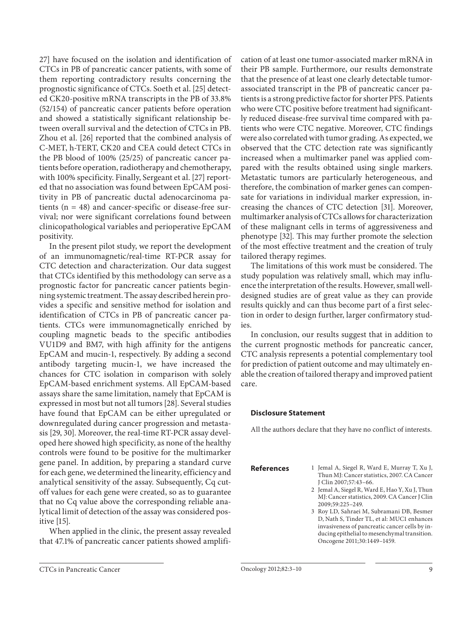27] have focused on the isolation and identification of CTCs in PB of pancreatic cancer patients, with some of them reporting contradictory results concerning the prognostic significance of CTCs. Soeth et al. [25] detected CK20-positive mRNA transcripts in the PB of 33.8% (52/154) of pancreatic cancer patients before operation and showed a statistically significant relationship between overall survival and the detection of CTCs in PB. Zhou et al. [26] reported that the combined analysis of C-MET, h-TERT, CK20 and CEA could detect CTCs in the PB blood of 100% (25/25) of pancreatic cancer patients before operation, radiotherapy and chemotherapy, with 100% specificity. Finally, Sergeant et al. [27] reported that no association was found between EpCAM positivity in PB of pancreatic ductal adenocarcinoma patients  $(n = 48)$  and cancer-specific or disease-free survival; nor were significant correlations found between clinicopathological variables and perioperative EpCAM positivity.

 In the present pilot study, we report the development of an immunomagnetic/real-time RT-PCR assay for CTC detection and characterization. Our data suggest that CTCs identified by this methodology can serve as a prognostic factor for pancreatic cancer patients beginning systemic treatment. The assay described herein provides a specific and sensitive method for isolation and identification of CTCs in PB of pancreatic cancer patients. CTCs were immunomagnetically enriched by coupling magnetic beads to the specific antibodies VU1D9 and BM7, with high affinity for the antigens EpCAM and mucin-1, respectively. By adding a second antibody targeting mucin-1, we have increased the chances for CTC isolation in comparison with solely EpCAM-based enrichment systems. All EpCAM-based assays share the same limitation, namely that EpCAM is expressed in most but not all tumors [28] . Several studies have found that EpCAM can be either upregulated or downregulated during cancer progression and metastasis [29, 30]. Moreover, the real-time RT-PCR assay developed here showed high specificity, as none of the healthy controls were found to be positive for the multimarker gene panel. In addition, by preparing a standard curve for each gene, we determined the linearity, efficiency and analytical sensitivity of the assay. Subsequently, Cq cutoff values for each gene were created, so as to guarantee that no Cq value above the corresponding reliable analytical limit of detection of the assay was considered positive [15].

 When applied in the clinic, the present assay revealed that 47.1% of pancreatic cancer patients showed amplification of at least one tumor-associated marker mRNA in their PB sample. Furthermore, our results demonstrate that the presence of at least one clearly detectable tumorassociated transcript in the PB of pancreatic cancer patients is a strong predictive factor for shorter PFS. Patients who were CTC positive before treatment had significantly reduced disease-free survival time compared with patients who were CTC negative. Moreover, CTC findings were also correlated with tumor grading. As expected, we observed that the CTC detection rate was significantly increased when a multimarker panel was applied compared with the results obtained using single markers. Metastatic tumors are particularly heterogeneous, and therefore, the combination of marker genes can compensate for variations in individual marker expression, increasing the chances of CTC detection [31]. Moreover, multimarker analysis of CTCs allows for characterization of these malignant cells in terms of aggressiveness and phenotype [32]. This may further promote the selection of the most effective treatment and the creation of truly tailored therapy regimes.

 The limitations of this work must be considered. The study population was relatively small, which may influence the interpretation of the results. However, small welldesigned studies are of great value as they can provide results quickly and can thus become part of a first selection in order to design further, larger confirmatory studies.

 In conclusion, our results suggest that in addition to the current prognostic methods for pancreatic cancer, CTC analysis represents a potential complementary tool for prediction of patient outcome and may ultimately enable the creation of tailored therapy and improved patient care.

#### **Disclosure Statement**

All the authors declare that they have no conflict of interests.

- 
- **References** 1 Jemal A, Siegel R, Ward E, Murray T, Xu J, Thun MJ: Cancer statistics, 2007. CA Cancer J Clin 2007;57:43–66.
	- 2 Jemal A, Siegel R, Ward E, Hao Y, Xu J, Thun MJ: Cancer statistics, 2009. CA Cancer J Clin 2009;59:225–249.
	- 3 Roy LD, Sahraei M, Subramani DB, Besmer D, Nath S, Tinder TL, et al: MUC1 enhances invasiveness of pancreatic cancer cells by inducing epithelial to mesenchymal transition. Oncogene 2011;30:1449–1459.

CTCs in Pancreatic Cancer Oncology 2012;82:3–10 9